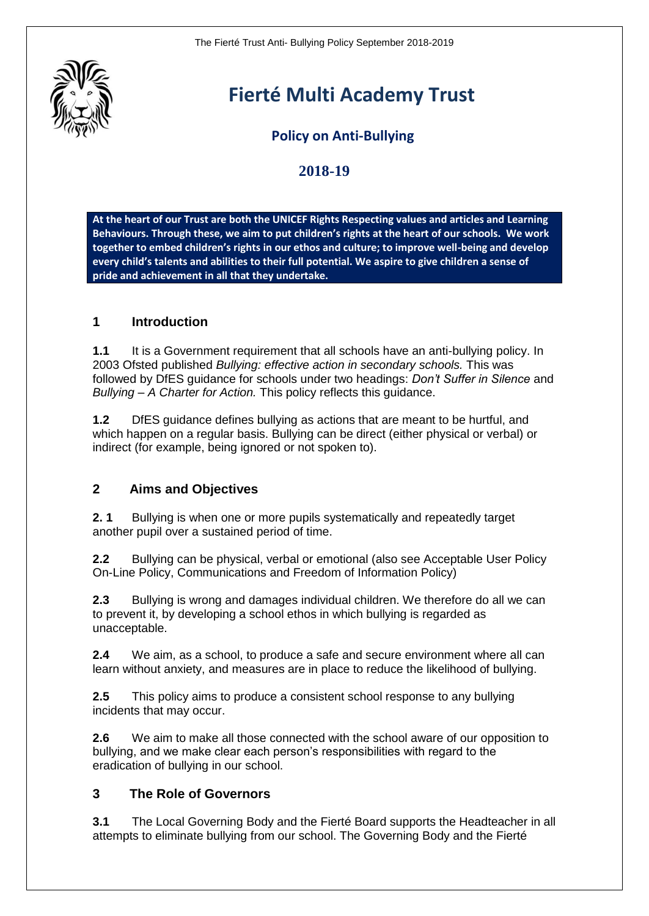

# **Fierté Multi Academy Trust**

# **Policy on Anti-Bullying**

# **2018-19**

**At the heart of our Trust are both the UNICEF Rights Respecting values and articles and Learning Behaviours. Through these, we aim to put [children's rights](http://www.unicef.org.uk/rights-respecting-schools/about-the-award/child-rights-in-schools/) at the heart of our schools. We work together to embed children's rights in our ethos and culture; to improve well-being and develop every child's talents and abilities to their full potential. We aspire to give children a sense of pride and achievement in all that they undertake.**

## **1 Introduction**

**1.1** It is a Government requirement that all schools have an anti-bullying policy. In 2003 Ofsted published *Bullying: effective action in secondary schools.* This was followed by DfES guidance for schools under two headings: *Don't Suffer in Silence* and *Bullying – A Charter for Action.* This policy reflects this guidance.

**1.2** DfES guidance defines bullying as actions that are meant to be hurtful, and which happen on a regular basis. Bullying can be direct (either physical or verbal) or indirect (for example, being ignored or not spoken to).

#### **2 Aims and Objectives**

**2. 1** Bullying is when one or more pupils systematically and repeatedly target another pupil over a sustained period of time.

**2.2** Bullying can be physical, verbal or emotional (also see Acceptable User Policy On-Line Policy, Communications and Freedom of Information Policy)

**2.3** Bullying is wrong and damages individual children. We therefore do all we can to prevent it, by developing a school ethos in which bullying is regarded as unacceptable.

**2.4** We aim, as a school, to produce a safe and secure environment where all can learn without anxiety, and measures are in place to reduce the likelihood of bullying.

**2.5** This policy aims to produce a consistent school response to any bullying incidents that may occur.

**2.6** We aim to make all those connected with the school aware of our opposition to bullying, and we make clear each person's responsibilities with regard to the eradication of bullying in our school.

#### **3 The Role of Governors**

**3.1** The Local Governing Body and the Fierté Board supports the Headteacher in all attempts to eliminate bullying from our school. The Governing Body and the Fierté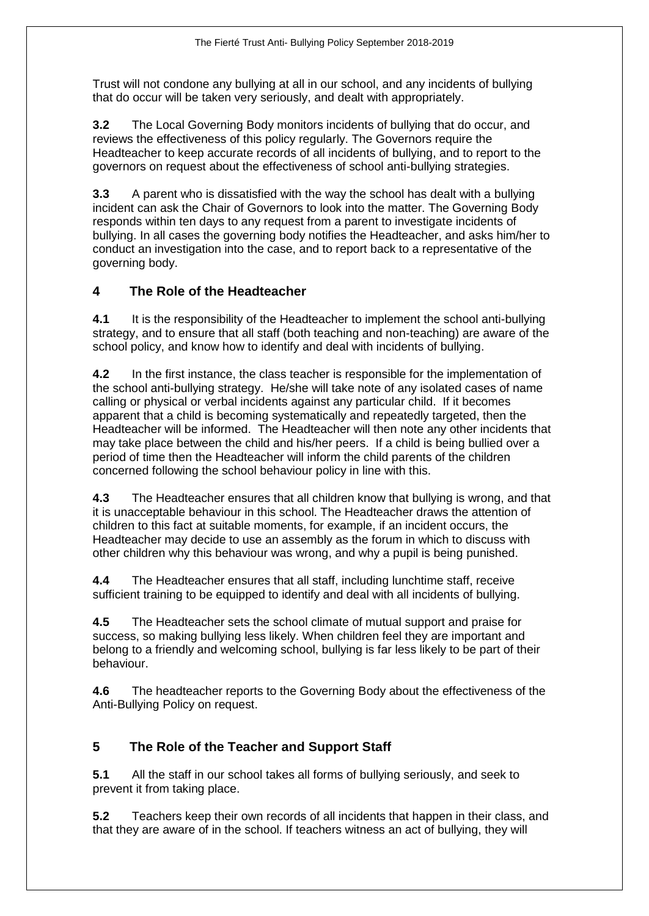Trust will not condone any bullying at all in our school, and any incidents of bullying that do occur will be taken very seriously, and dealt with appropriately.

**3.2** The Local Governing Body monitors incidents of bullying that do occur, and reviews the effectiveness of this policy regularly. The Governors require the Headteacher to keep accurate records of all incidents of bullying, and to report to the governors on request about the effectiveness of school anti-bullying strategies.

**3.3** A parent who is dissatisfied with the way the school has dealt with a bullying incident can ask the Chair of Governors to look into the matter. The Governing Body responds within ten days to any request from a parent to investigate incidents of bullying. In all cases the governing body notifies the Headteacher, and asks him/her to conduct an investigation into the case, and to report back to a representative of the governing body.

## **4 The Role of the Headteacher**

**4.1** It is the responsibility of the Headteacher to implement the school anti-bullying strategy, and to ensure that all staff (both teaching and non-teaching) are aware of the school policy, and know how to identify and deal with incidents of bullying.

**4.2** In the first instance, the class teacher is responsible for the implementation of the school anti-bullying strategy. He/she will take note of any isolated cases of name calling or physical or verbal incidents against any particular child. If it becomes apparent that a child is becoming systematically and repeatedly targeted, then the Headteacher will be informed. The Headteacher will then note any other incidents that may take place between the child and his/her peers. If a child is being bullied over a period of time then the Headteacher will inform the child parents of the children concerned following the school behaviour policy in line with this.

**4.3** The Headteacher ensures that all children know that bullying is wrong, and that it is unacceptable behaviour in this school. The Headteacher draws the attention of children to this fact at suitable moments, for example, if an incident occurs, the Headteacher may decide to use an assembly as the forum in which to discuss with other children why this behaviour was wrong, and why a pupil is being punished.

**4.4** The Headteacher ensures that all staff, including lunchtime staff, receive sufficient training to be equipped to identify and deal with all incidents of bullying.

**4.5** The Headteacher sets the school climate of mutual support and praise for success, so making bullying less likely. When children feel they are important and belong to a friendly and welcoming school, bullying is far less likely to be part of their behaviour.

**4.6** The headteacher reports to the Governing Body about the effectiveness of the Anti-Bullying Policy on request.

# **5 The Role of the Teacher and Support Staff**

**5.1** All the staff in our school takes all forms of bullying seriously, and seek to prevent it from taking place.

**5.2** Teachers keep their own records of all incidents that happen in their class, and that they are aware of in the school. If teachers witness an act of bullying, they will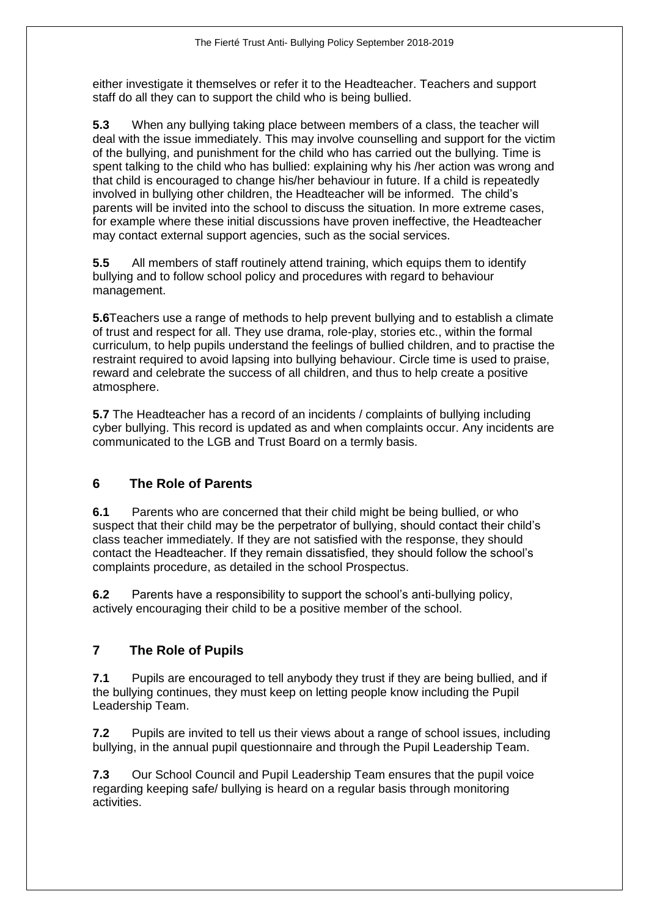either investigate it themselves or refer it to the Headteacher. Teachers and support staff do all they can to support the child who is being bullied.

**5.3** When any bullying taking place between members of a class, the teacher will deal with the issue immediately. This may involve counselling and support for the victim of the bullying, and punishment for the child who has carried out the bullying. Time is spent talking to the child who has bullied: explaining why his /her action was wrong and that child is encouraged to change his/her behaviour in future. If a child is repeatedly involved in bullying other children, the Headteacher will be informed. The child's parents will be invited into the school to discuss the situation. In more extreme cases, for example where these initial discussions have proven ineffective, the Headteacher may contact external support agencies, such as the social services.

**5.5** All members of staff routinely attend training, which equips them to identify bullying and to follow school policy and procedures with regard to behaviour management.

**5.6**Teachers use a range of methods to help prevent bullying and to establish a climate of trust and respect for all. They use drama, role-play, stories etc., within the formal curriculum, to help pupils understand the feelings of bullied children, and to practise the restraint required to avoid lapsing into bullying behaviour. Circle time is used to praise, reward and celebrate the success of all children, and thus to help create a positive atmosphere.

**5.7** The Headteacher has a record of an incidents / complaints of bullying including cyber bullying. This record is updated as and when complaints occur. Any incidents are communicated to the LGB and Trust Board on a termly basis.

# **6 The Role of Parents**

**6.1** Parents who are concerned that their child might be being bullied, or who suspect that their child may be the perpetrator of bullying, should contact their child's class teacher immediately. If they are not satisfied with the response, they should contact the Headteacher. If they remain dissatisfied, they should follow the school's complaints procedure, as detailed in the school Prospectus.

**6.2** Parents have a responsibility to support the school's anti-bullying policy, actively encouraging their child to be a positive member of the school.

# **7 The Role of Pupils**

**7.1** Pupils are encouraged to tell anybody they trust if they are being bullied, and if the bullying continues, they must keep on letting people know including the Pupil Leadership Team.

**7.2** Pupils are invited to tell us their views about a range of school issues, including bullying, in the annual pupil questionnaire and through the Pupil Leadership Team.

**7.3** Our School Council and Pupil Leadership Team ensures that the pupil voice regarding keeping safe/ bullying is heard on a regular basis through monitoring activities.